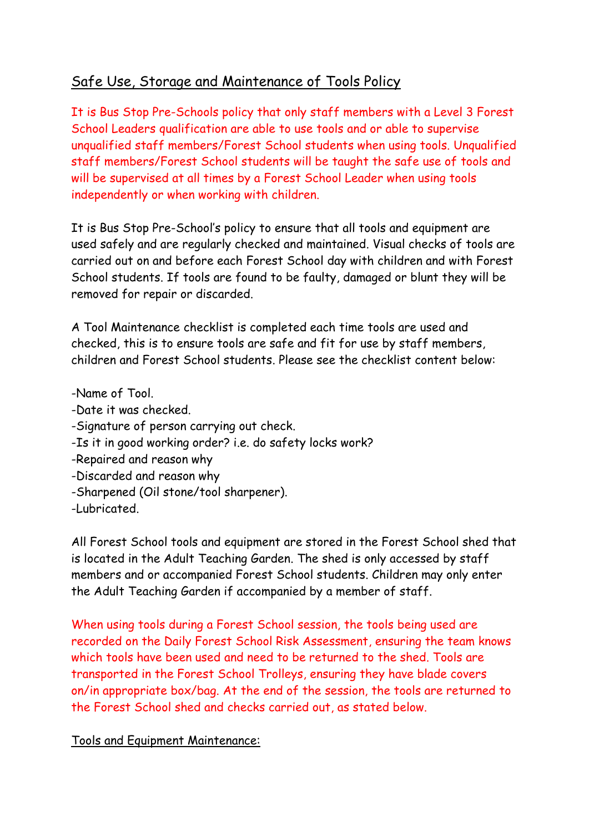## Safe Use, Storage and Maintenance of Tools Policy

It is Bus Stop Pre-Schools policy that only staff members with a Level 3 Forest School Leaders qualification are able to use tools and or able to supervise unqualified staff members/Forest School students when using tools. Unqualified staff members/Forest School students will be taught the safe use of tools and will be supervised at all times by a Forest School Leader when using tools independently or when working with children.

It is Bus Stop Pre-School's policy to ensure that all tools and equipment are used safely and are regularly checked and maintained. Visual checks of tools are carried out on and before each Forest School day with children and with Forest School students. If tools are found to be faulty, damaged or blunt they will be removed for repair or discarded.

A Tool Maintenance checklist is completed each time tools are used and checked, this is to ensure tools are safe and fit for use by staff members, children and Forest School students. Please see the checklist content below:

-Name of Tool.

- -Date it was checked.
- -Signature of person carrying out check.
- -Is it in good working order? i.e. do safety locks work?
- -Repaired and reason why
- -Discarded and reason why
- -Sharpened (Oil stone/tool sharpener).

-Lubricated.

All Forest School tools and equipment are stored in the Forest School shed that is located in the Adult Teaching Garden. The shed is only accessed by staff members and or accompanied Forest School students. Children may only enter the Adult Teaching Garden if accompanied by a member of staff.

When using tools during a Forest School session, the tools being used are recorded on the Daily Forest School Risk Assessment, ensuring the team knows which tools have been used and need to be returned to the shed. Tools are transported in the Forest School Trolleys, ensuring they have blade covers on/in appropriate box/bag. At the end of the session, the tools are returned to the Forest School shed and checks carried out, as stated below.

Tools and Equipment Maintenance: